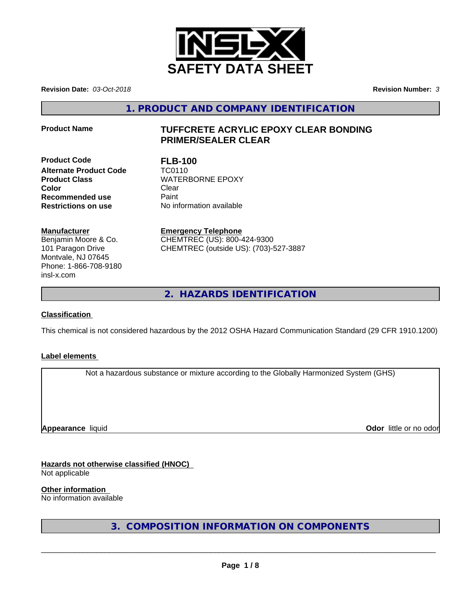

**Revision Date:** *03-Oct-2018* **Revision Number:** *3*

**1. PRODUCT AND COMPANY IDENTIFICATION**

# **Product Name TUFFCRETE ACRYLIC EPOXY CLEAR BONDING PRIMER/SEALER CLEAR**

**Product Code FLB-100 Alternate Product Code TC0110 Product Class** WATERBORNE EPOXY **Color** Clear Clear **Recommended use Paint Restrictions on use** No information available

**Manufacturer**

Benjamin Moore & Co. 101 Paragon Drive Montvale, NJ 07645 Phone: 1-866-708-9180 insl-x.com

**Emergency Telephone** CHEMTREC (US): 800-424-9300 CHEMTREC (outside US): (703)-527-3887

**2. HAZARDS IDENTIFICATION**

# **Classification**

This chemical is not considered hazardous by the 2012 OSHA Hazard Communication Standard (29 CFR 1910.1200)

# **Label elements**

Not a hazardous substance or mixture according to the Globally Harmonized System (GHS)

**Appearance** liquid

**Odor** little or no odor

**Hazards not otherwise classified (HNOC)**

Not applicable

**Other information**

No information available

**3. COMPOSITION INFORMATION ON COMPONENTS**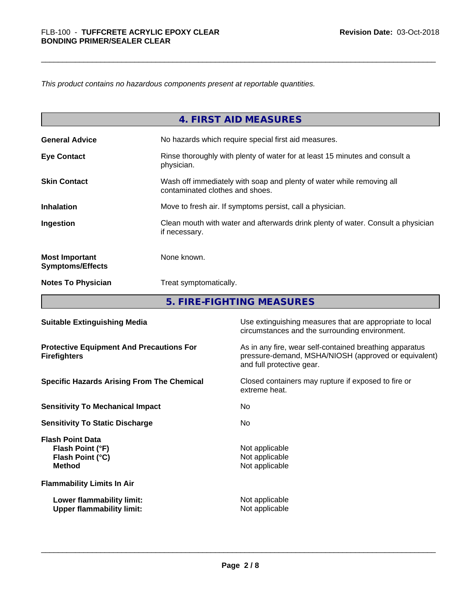*This product contains no hazardous components present at reportable quantities.*

|                                                                           |               | <b>4. FIRST AID MEASURES</b>                                                                                                                 |  |
|---------------------------------------------------------------------------|---------------|----------------------------------------------------------------------------------------------------------------------------------------------|--|
| <b>General Advice</b>                                                     |               | No hazards which require special first aid measures.                                                                                         |  |
| <b>Eye Contact</b>                                                        | physician.    | Rinse thoroughly with plenty of water for at least 15 minutes and consult a                                                                  |  |
| <b>Skin Contact</b>                                                       |               | Wash off immediately with soap and plenty of water while removing all<br>contaminated clothes and shoes.                                     |  |
| <b>Inhalation</b>                                                         |               | Move to fresh air. If symptoms persist, call a physician.                                                                                    |  |
| Ingestion                                                                 | if necessary. | Clean mouth with water and afterwards drink plenty of water. Consult a physician                                                             |  |
| <b>Most Important</b><br><b>Symptoms/Effects</b>                          | None known.   |                                                                                                                                              |  |
| <b>Notes To Physician</b>                                                 |               | Treat symptomatically.                                                                                                                       |  |
|                                                                           |               | 5. FIRE-FIGHTING MEASURES                                                                                                                    |  |
| <b>Suitable Extinguishing Media</b>                                       |               | Use extinguishing measures that are appropriate to local<br>circumstances and the surrounding environment.                                   |  |
| <b>Protective Equipment And Precautions For</b><br><b>Firefighters</b>    |               | As in any fire, wear self-contained breathing apparatus<br>pressure-demand, MSHA/NIOSH (approved or equivalent)<br>and full protective gear. |  |
| <b>Specific Hazards Arising From The Chemical</b>                         |               | Closed containers may rupture if exposed to fire or<br>extreme heat.                                                                         |  |
| <b>Sensitivity To Mechanical Impact</b>                                   |               | No                                                                                                                                           |  |
| <b>Sensitivity To Static Discharge</b>                                    |               | No                                                                                                                                           |  |
| <b>Flash Point Data</b><br>Flash Point (°F)<br>Flash Point (°C)<br>Method |               | Not applicable<br>Not applicable<br>Not applicable                                                                                           |  |

**Flammability Limits In Air**

**Lower flammability limit:**<br> **Upper flammability limit:**<br>
Upper flammability limit:<br>
Not applicable **Upper flammability limit:** 

**Not applicable**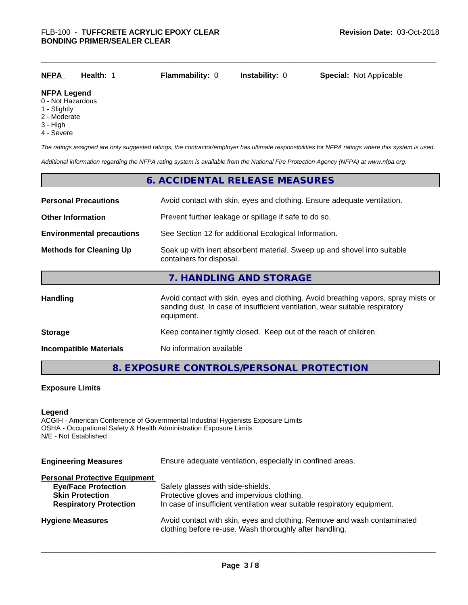| <b>NFPA</b>                                  | Health: 1 | <b>Flammability: 0</b> | <b>Instability: 0</b> | <b>Special: Not Applicable</b> |
|----------------------------------------------|-----------|------------------------|-----------------------|--------------------------------|
| <b>NFPA Legend</b><br>0 - Not Hazardous      |           |                        |                       |                                |
| $\overline{1}$ $\overline{2}$ $\overline{1}$ |           |                        |                       |                                |

- 1 Slightly
- 2 Moderate
- 3 High
- 4 Severe

*The ratings assigned are only suggested ratings, the contractor/employer has ultimate responsibilities for NFPA ratings where this system is used.*

*Additional information regarding the NFPA rating system is available from the National Fire Protection Agency (NFPA) at www.nfpa.org.*

# **6. ACCIDENTAL RELEASE MEASURES**

| <b>Personal Precautions</b>      | Avoid contact with skin, eyes and clothing. Ensure adequate ventilation.                                                                                                         |  |
|----------------------------------|----------------------------------------------------------------------------------------------------------------------------------------------------------------------------------|--|
| <b>Other Information</b>         | Prevent further leakage or spillage if safe to do so.                                                                                                                            |  |
| <b>Environmental precautions</b> | See Section 12 for additional Ecological Information.                                                                                                                            |  |
| <b>Methods for Cleaning Up</b>   | Soak up with inert absorbent material. Sweep up and shovel into suitable<br>containers for disposal.                                                                             |  |
|                                  | 7. HANDLING AND STORAGE                                                                                                                                                          |  |
| Handling                         | Avoid contact with skin, eyes and clothing. Avoid breathing vapors, spray mists or<br>sanding dust. In case of insufficient ventilation, wear suitable respiratory<br>equipment. |  |
| <b>Storage</b>                   | Keep container tightly closed. Keep out of the reach of children.                                                                                                                |  |
| <b>Incompatible Materials</b>    | No information available                                                                                                                                                         |  |

# **8. EXPOSURE CONTROLS/PERSONAL PROTECTION**

#### **Exposure Limits**

### **Legend**

ACGIH - American Conference of Governmental Industrial Hygienists Exposure Limits OSHA - Occupational Safety & Health Administration Exposure Limits N/E - Not Established

| <b>Engineering Measures</b><br>Ensure adequate ventilation, especially in confined areas. |                                                                                                                                     |  |
|-------------------------------------------------------------------------------------------|-------------------------------------------------------------------------------------------------------------------------------------|--|
| <b>Personal Protective Equipment</b>                                                      |                                                                                                                                     |  |
| <b>Eye/Face Protection</b>                                                                | Safety glasses with side-shields.                                                                                                   |  |
| <b>Skin Protection</b>                                                                    | Protective gloves and impervious clothing.                                                                                          |  |
| <b>Respiratory Protection</b>                                                             | In case of insufficient ventilation wear suitable respiratory equipment.                                                            |  |
| <b>Hygiene Measures</b>                                                                   | Avoid contact with skin, eyes and clothing. Remove and wash contaminated<br>clothing before re-use. Wash thoroughly after handling. |  |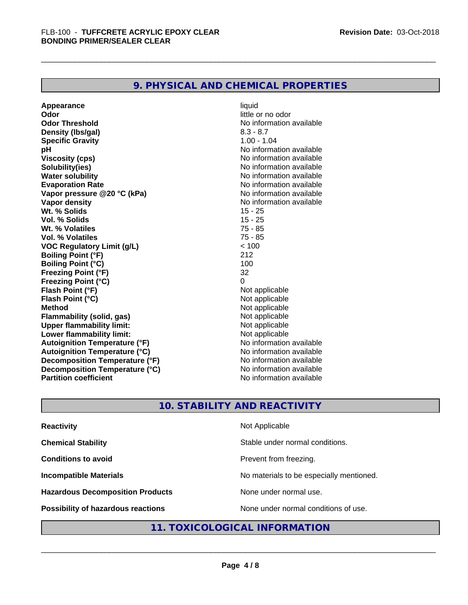# **9. PHYSICAL AND CHEMICAL PROPERTIES**

**Appearance** liquid **Odor** little or no odor **Odor Threshold** No information available **Density (Ibs/gal)** 8.3 - 8.7<br> **Specific Gravity** 8.3 - 8.7 **Specific Gravity pH pH**  $\blacksquare$ **Viscosity (cps)** No information available **Solubility(ies)**<br> **Water solubility**<br> **Water solubility**<br> **Water Solubility Water solubility**<br> **Evaporation Rate**<br> **Evaporation Rate**<br> **Evaporation Rate Vapor pressure @20 °C (kPa)**<br> **Vapor density**<br> **Vapor density**<br> **Vapor density Wt. % Solids** 15 - 25 **Vol. % Solids** 15 - 25 **Wt. % Volatiles** 75 - 85 **Vol. % Volatiles VOC Regulatory Limit (g/L)**  $\leftarrow$  100<br> **Roiling Point (°F)** 212 **Boiling Point (°F) Boiling Point (°C)** 100 **Freezing Point (°F)** 32 **Freezing Point (°C) Flash Point (°F)**<br> **Flash Point (°C)**<br> **Flash Point (°C)**<br> **Point (°C) Flash Point (°C)**<br>Method **Flammability** (solid, gas) **Upper flammability limit:**<br> **Lower flammability limit:** Not applicable Not applicable **Lower flammability limit:**<br> **Autoignition Temperature (°F)** Not applicable havailable **Autoignition Temperature (°F) Autoignition Temperature (°C)**<br> **Decomposition Temperature (°F)** No information available **Decomposition Temperature (°F) Decomposition Temperature (°C)**<br> **Partition coefficient**<br> **Partition coefficient**<br> **No** information available **Partition coefficient** 

**Evaporation Rate** No information available **No information available**<br>15 - 25 **Not applicable**<br>Not applicable

# **10. STABILITY AND REACTIVITY**

| <b>Reactivity</b>                       | Not Applicable                           |
|-----------------------------------------|------------------------------------------|
| <b>Chemical Stability</b>               | Stable under normal conditions.          |
| <b>Conditions to avoid</b>              | Prevent from freezing.                   |
| <b>Incompatible Materials</b>           | No materials to be especially mentioned. |
| <b>Hazardous Decomposition Products</b> | None under normal use.                   |
| Possibility of hazardous reactions      | None under normal conditions of use.     |

# **11. TOXICOLOGICAL INFORMATION**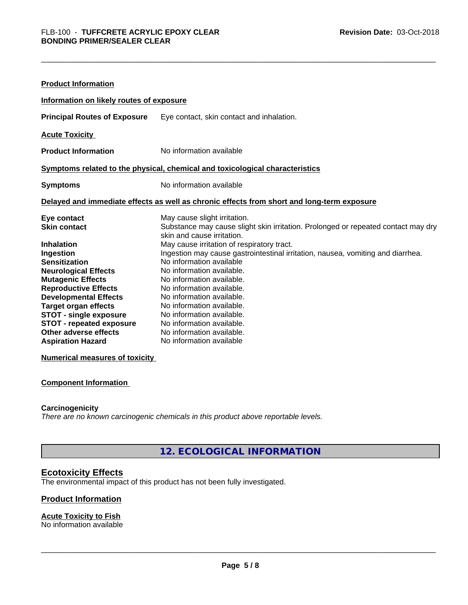| <b>Product Information</b>               |                                                                                                                 |
|------------------------------------------|-----------------------------------------------------------------------------------------------------------------|
| Information on likely routes of exposure |                                                                                                                 |
| <b>Principal Routes of Exposure</b>      | Eye contact, skin contact and inhalation.                                                                       |
| <b>Acute Toxicity</b>                    |                                                                                                                 |
| <b>Product Information</b>               | No information available                                                                                        |
|                                          | Symptoms related to the physical, chemical and toxicological characteristics                                    |
| <b>Symptoms</b>                          | No information available                                                                                        |
|                                          | Delayed and immediate effects as well as chronic effects from short and long-term exposure                      |
| Eye contact                              | May cause slight irritation.                                                                                    |
| <b>Skin contact</b>                      | Substance may cause slight skin irritation. Prolonged or repeated contact may dry<br>skin and cause irritation. |
| <b>Inhalation</b>                        | May cause irritation of respiratory tract.                                                                      |
| Ingestion                                | Ingestion may cause gastrointestinal irritation, nausea, vomiting and diarrhea.                                 |
| <b>Sensitization</b>                     | No information available                                                                                        |
| <b>Neurological Effects</b>              | No information available.                                                                                       |
| <b>Mutagenic Effects</b>                 | No information available.                                                                                       |
| <b>Reproductive Effects</b>              | No information available.                                                                                       |
| <b>Developmental Effects</b>             | No information available.                                                                                       |
| <b>Target organ effects</b>              | No information available.                                                                                       |
| <b>STOT - single exposure</b>            | No information available.                                                                                       |
| <b>STOT - repeated exposure</b>          | No information available.                                                                                       |
| Other adverse effects                    | No information available.                                                                                       |
| <b>Aspiration Hazard</b>                 | No information available                                                                                        |

**Numerical measures of toxicity**

#### **Component Information**

### **Carcinogenicity**

*There are no known carcinogenic chemicals in this product above reportable levels.*

**12. ECOLOGICAL INFORMATION**

# **Ecotoxicity Effects**

The environmental impact of this product has not been fully investigated.

#### **Product Information**

#### **Acute Toxicity to Fish** No information available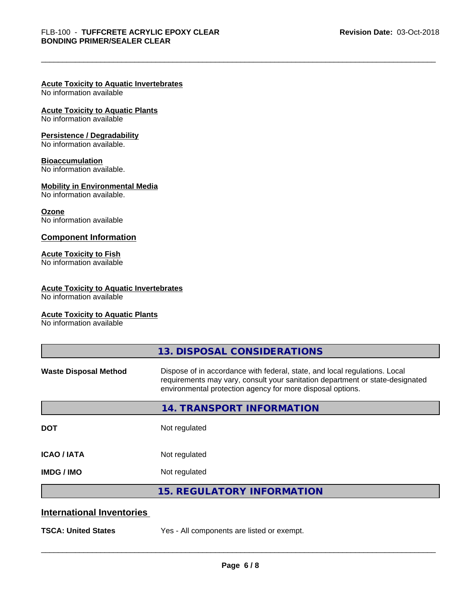# **Acute Toxicity to Aquatic Invertebrates**

No information available

# **Acute Toxicity to Aquatic Plants**

No information available

#### **Persistence / Degradability**

No information available.

#### **Bioaccumulation**

No information available.

#### **Mobility in Environmental Media**

No information available.

#### **Ozone**

No information available

### **Component Information**

# **Acute Toxicity to Fish**

No information available

### **Acute Toxicity to Aquatic Invertebrates**

No information available

### **Acute Toxicity to Aquatic Plants**

No information available

|                                  | 13. DISPOSAL CONSIDERATIONS                                                                                                                                                                                               |
|----------------------------------|---------------------------------------------------------------------------------------------------------------------------------------------------------------------------------------------------------------------------|
| <b>Waste Disposal Method</b>     | Dispose of in accordance with federal, state, and local regulations. Local<br>requirements may vary, consult your sanitation department or state-designated<br>environmental protection agency for more disposal options. |
|                                  | 14. TRANSPORT INFORMATION                                                                                                                                                                                                 |
| <b>DOT</b>                       | Not regulated                                                                                                                                                                                                             |
| <b>ICAO/IATA</b>                 | Not regulated                                                                                                                                                                                                             |
| <b>IMDG/IMO</b>                  | Not regulated                                                                                                                                                                                                             |
|                                  | <b>15. REGULATORY INFORMATION</b>                                                                                                                                                                                         |
| <b>International Inventories</b> |                                                                                                                                                                                                                           |
| <b>TSCA: United States</b>       | Yes - All components are listed or exempt.                                                                                                                                                                                |
|                                  |                                                                                                                                                                                                                           |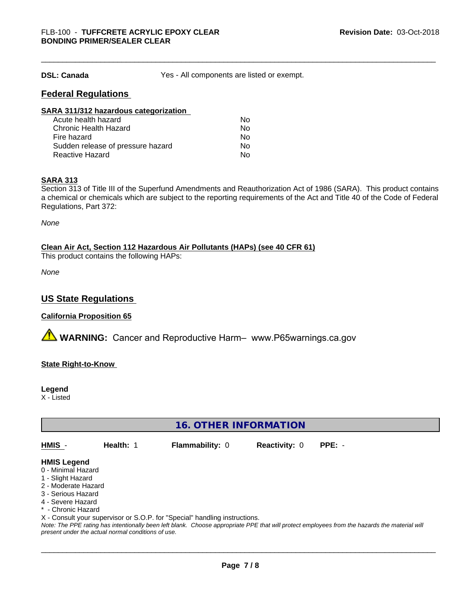**DSL: Canada** Yes - All components are listed or exempt.

# **Federal Regulations**

| SARA 311/312 hazardous categorization |    |  |
|---------------------------------------|----|--|
| Acute health hazard                   | Nο |  |
| Chronic Health Hazard                 | No |  |
| Fire hazard                           | Nο |  |
| Sudden release of pressure hazard     | Nο |  |
| <b>Reactive Hazard</b>                | No |  |

#### **SARA 313**

Section 313 of Title III of the Superfund Amendments and Reauthorization Act of 1986 (SARA). This product contains a chemical or chemicals which are subject to the reporting requirements of the Act and Title 40 of the Code of Federal Regulations, Part 372:

*None*

**Clean Air Act,Section 112 Hazardous Air Pollutants (HAPs) (see 40 CFR 61)**

This product contains the following HAPs:

*None*

# **US State Regulations**

### **California Proposition 65**

**AVIMARNING:** Cancer and Reproductive Harm– www.P65warnings.ca.gov

**State Right-to-Know**

**Legend**

X - Listed

**16. OTHER INFORMATION**

**HMIS** - **Health:** 1 **Flammability:** 0 **Reactivity:** 0 **PPE:** -

#### **HMIS Legend**

- 0 Minimal Hazard
- 1 Slight Hazard
- 2 Moderate Hazard
- 3 Serious Hazard
- 4 Severe Hazard
- \* Chronic Hazard
- X Consult your supervisor or S.O.P. for "Special" handling instructions.

*Note: The PPE rating has intentionally been left blank. Choose appropriate PPE that will protect employees from the hazards the material will present under the actual normal conditions of use.*